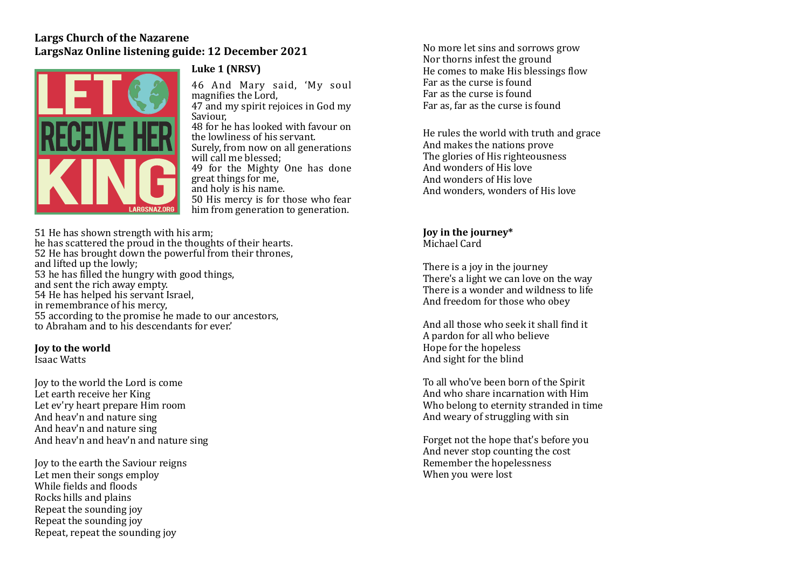### **Largs Church of the Nazarene** LargsNaz Online listening guide: 12 December 2021



#### **Luke 1 (NRSV)**

46 And Mary said, 'My soul magnifies the Lord. 47 and my spirit rejoices in God my Saviour, 48 for he has looked with favour on the lowliness of his servant. Surely, from now on all generations will call me blessed: 49 for the Mighty One has done great things for me, and holy is his name. 50 His mercy is for those who fear him from generation to generation.

51 He has shown strength with his arm: he has scattered the proud in the thoughts of their hearts. 52 He has brought down the powerful from their thrones. and lifted up the lowly: 53 he has filled the hungry with good things, and sent the rich away empty. 54 He has helped his servant Israel. in remembrance of his mercy, 55 according to the promise he made to our ancestors. to Abraham and to his descendants for ever.'

#### **Joy to the world**

Isaac Watts 

Joy to the world the Lord is come Let earth receive her King Let ev'ry heart prepare Him room And heav'n and nature sing And heav'n and nature sing And heav'n and heav'n and nature sing

Joy to the earth the Saviour reigns Let men their songs employ While fields and floods Rocks hills and plains Repeat the sounding joy Repeat the sounding joy Repeat, repeat the sounding joy

No more let sins and sorrows grow Nor thorns infest the ground He comes to make His blessings flow Far as the curse is found Far as the curse is found Far as, far as the curse is found

He rules the world with truth and grace And makes the nations prove The glories of His righteousness And wonders of His love And wonders of His love And wonders, wonders of His love

# **Joy** in the journey\*

Michael Card

There is a joy in the journey There's a light we can love on the way There is a wonder and wildness to life And freedom for those who obey

And all those who seek it shall find it A pardon for all who believe Hope for the hopeless And sight for the blind

To all who've been born of the Spirit And who share incarnation with Him Who belong to eternity stranded in time And weary of struggling with sin

Forget not the hope that's before you And never stop counting the cost Remember the hopelessness When you were lost